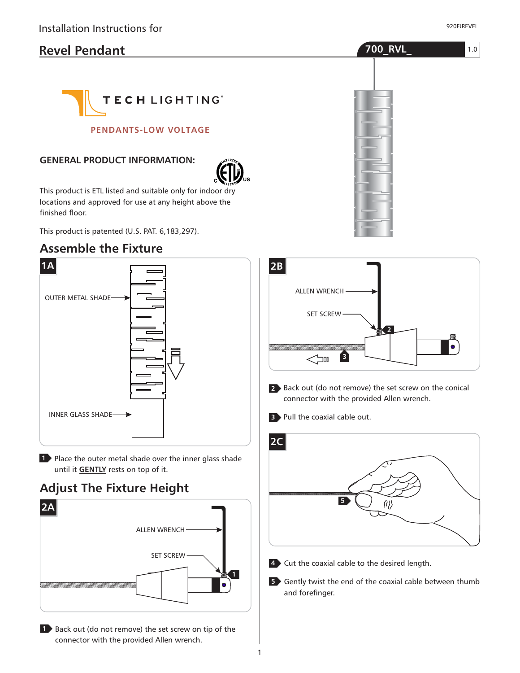# **Revel Pendant 700\_RVL\_**



**PENDANTS-LOW VOLTAGE**

#### **GENERAL PRODUCT INFORMATION:**



This product is ETL listed and suitable only for indoor dry locations and approved for use at any height above the finished floor.

This product is patented (U.S. PAT. 6,183,297).

### **Assemble the Fixture**



1 Place the outer metal shade over the inner glass shade until it **GENTLY** rests on top of it.

# **Adjust The Fixture Height**



**1** Back out (do not remove) the set screw on tip of the connector with the provided Allen wrench.





- Back out (do not remove) the set screw on the conical **2** connector with the provided Allen wrench.
- Pull the coaxial cable out. **3**



- Cut the coaxial cable to the desired length. **4**
- **5** Gently twist the end of the coaxial cable between thumb and forefinger.

1.0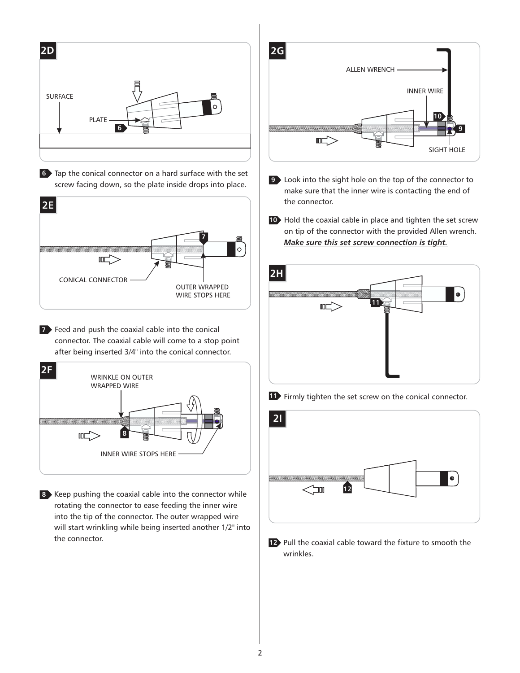

Tap the conical connector on a hard surface with the set **6** screw facing down, so the plate inside drops into place.



**7** Feed and push the coaxial cable into the conical connector. The coaxial cable will come to a stop point after being inserted 3/4" into the conical connector.



8 Keep pushing the coaxial cable into the connector while rotating the connector to ease feeding the inner wire into the tip of the connector. The outer wrapped wire will start wrinkling while being inserted another 1/2" into the connector.



- Look into the sight hole on the top of the connector to **9** make sure that the inner wire is contacting the end of the connector.
- **10** Hold the coaxial cable in place and tighten the set screw on tip of the connector with the provided Allen wrench. *Make sure this set screw connection is tight.*





**12** Pull the coaxial cable toward the fixture to smooth the wrinkles.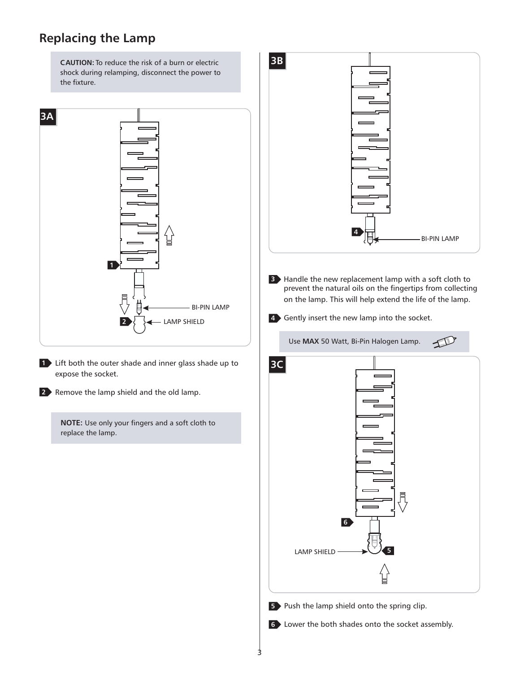# **Replacing the Lamp**

**CAUTION:** To reduce the risk of a burn or electric shock during relamping, disconnect the power to the fixture.



**1** Lift both the outer shade and inner glass shade up to expose the socket.

**2** Remove the lamp shield and the old lamp.

**NOTE:** Use only your fingers and a soft cloth to replace the lamp.

**3B 4** BI-PIN LAMP Handle the new replacement lamp with a soft cloth to **3** prevent the natural oils on the fingertips from collecting on the lamp. This will help extend the life of the lamp. Gently insert the new lamp into the socket. **4** Use MAX 50 Watt, Bi-Pin Halogen Lamp. D **3C** $\equiv$ **6** LAMP SHIELD **5 5** Push the lamp shield onto the spring clip.

Lower the both shades onto the socket assembly. **6**

3